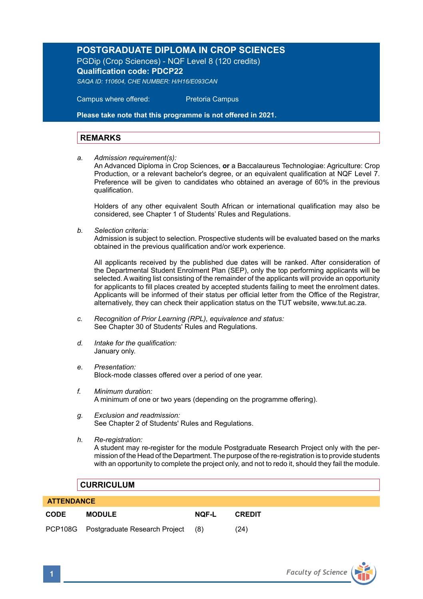## **POSTGRADUATE DIPLOMA IN CROP SCIENCES**

PGDip (Crop Sciences) - NQF Level 8 (120 credits) **Qualification code: PDCP22**

*SAQA ID: 110604, CHE NUMBER: H/H16/E093CAN*

 Campus where offered: Pretoria Campus

**Please take note that this programme is not offered in 2021.** 

## **REMARKS**

*a. Admission requirement(s):* 

An Advanced Diploma in Crop Sciences, **or** a Baccalaureus Technologiae: Agriculture: Crop Production, or a relevant bachelor's degree, or an equivalent qualification at NQF Level 7. Preference will be given to candidates who obtained an average of 60% in the previous qualification.

Holders of any other equivalent South African or international qualification may also be considered, see Chapter 1 of Students' Rules and Regulations.

*b. Selection criteria:*

Admission is subject to selection. Prospective students will be evaluated based on the marks obtained in the previous qualification and/or work experience.

All applicants received by the published due dates will be ranked. After consideration of the Departmental Student Enrolment Plan (SEP), only the top performing applicants will be selected. A waiting list consisting of the remainder of the applicants will provide an opportunity for applicants to fill places created by accepted students failing to meet the enrolment dates. Applicants will be informed of their status per official letter from the Office of the Registrar, alternatively, they can check their application status on the TUT website, www.tut.ac.za.

- *c. Recognition of Prior Learning (RPL), equivalence and status:* See Chapter 30 of Students' Rules and Regulations.
- *d. Intake for the qualification:* January only.
- *e. Presentation:* Block-mode classes offered over a period of one year.
- *f. Minimum duration:* A minimum of one or two years (depending on the programme offering).
- *g. Exclusion and readmission:* See Chapter 2 of Students' Rules and Regulations.
- *h. Re-registration:*

A student may re-register for the module Postgraduate Research Project only with the permission of the Head of the Department. The purpose of the re-registration is to provide students with an opportunity to complete the project only, and not to redo it, should they fail the module.

## **CURRICULUM**

| <b>ATTENDANCE</b> |                                       |       |               |  |  |
|-------------------|---------------------------------------|-------|---------------|--|--|
| <b>CODE</b>       | <b>MODULE</b>                         | NOF-L | <b>CREDIT</b> |  |  |
|                   | PCP108G Postgraduate Research Project | (8)   | (24)          |  |  |

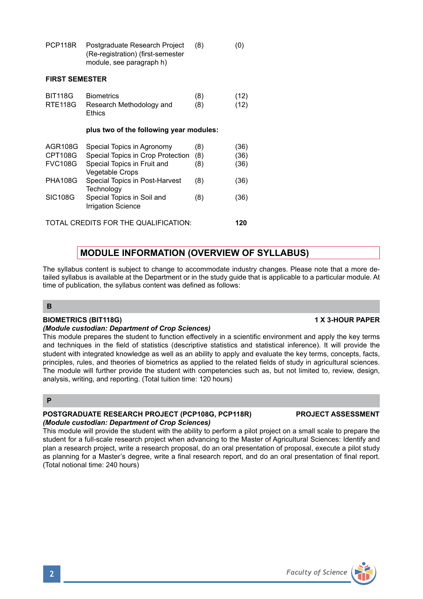|                                             | module, see paragraph h)                                                                                          |                   |                      |  |  |
|---------------------------------------------|-------------------------------------------------------------------------------------------------------------------|-------------------|----------------------|--|--|
| <b>FIRST SEMESTER</b>                       |                                                                                                                   |                   |                      |  |  |
| <b>BIT118G</b><br>RTE118G                   | <b>Biometrics</b><br>Research Methodology and<br>Ethics                                                           | (8)<br>(8)        | (12)<br>(12)         |  |  |
| plus two of the following year modules:     |                                                                                                                   |                   |                      |  |  |
| AGR108G<br><b>CPT108G</b><br><b>FVC108G</b> | Special Topics in Agronomy<br>Special Topics in Crop Protection<br>Special Topics in Fruit and<br>Vegetable Crops | (8)<br>(8)<br>(8) | (36)<br>(36)<br>(36) |  |  |
| <b>PHA108G</b>                              | Special Topics in Post-Harvest<br>Technology                                                                      | (8)               | (36)                 |  |  |
| <b>SIC108G</b>                              | Special Topics in Soil and<br><b>Irrigation Science</b>                                                           | (8)               | (36)                 |  |  |
| TOTAL CREDITS FOR THE QUALIFICATION:        |                                                                                                                   |                   |                      |  |  |

PCP118R Postgraduate Research Project (8) (0) (Re-registration) (first-semester

# **MODULE INFORMATION (OVERVIEW OF SYLLABUS)**

The syllabus content is subject to change to accommodate industry changes. Please note that a more detailed syllabus is available at the Department or in the study guide that is applicable to a particular module. At time of publication, the syllabus content was defined as follows:

## **B**

## **BIOMETRICS (BIT118G) 1 X 3-HOUR PAPER**

## *(Module custodian: Department of Crop Sciences)*

This module prepares the student to function effectively in a scientific environment and apply the key terms and techniques in the field of statistics (descriptive statistics and statistical inference). It will provide the student with integrated knowledge as well as an ability to apply and evaluate the key terms, concepts, facts, principles, rules, and theories of biometrics as applied to the related fields of study in agricultural sciences. The module will further provide the student with competencies such as, but not limited to, review, design, analysis, writing, and reporting. (Total tuition time: 120 hours)

## **P**

## **POSTGRADUATE RESEARCH PROJECT (PCP108G, PCP118R) PROJECT ASSESSMENT** *(Module custodian: Department of Crop Sciences)*

This module will provide the student with the ability to perform a pilot project on a small scale to prepare the student for a full-scale research project when advancing to the Master of Agricultural Sciences: Identify and plan a research project, write a research proposal, do an oral presentation of proposal, execute a pilot study as planning for a Master's degree, write a final research report, and do an oral presentation of final report. (Total notional time: 240 hours)